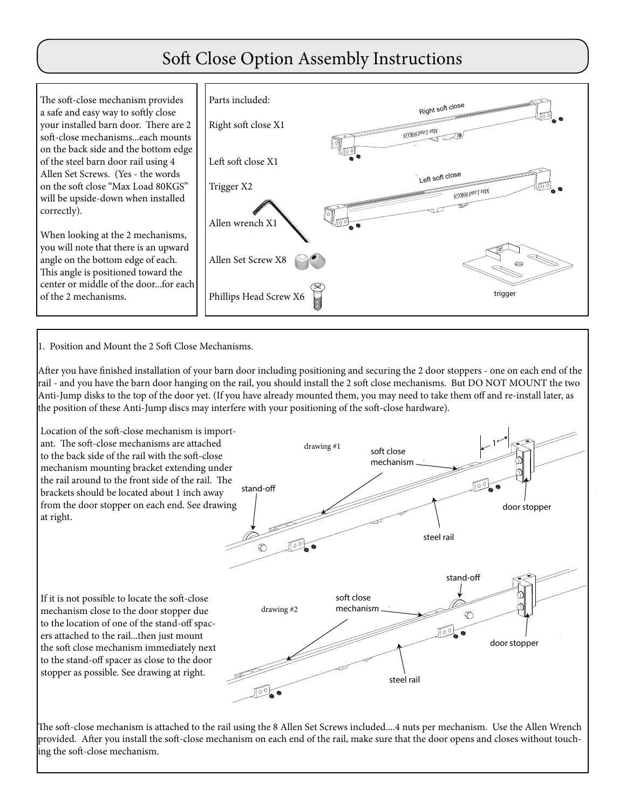## Soft Close Option Assembly Instructions

The soft-close mechanism provides a safe and easy way to softly close your installed barn door. There are 2 soft-close mechanisms...each mounts on the back side and the bottom edge of the steel barn door rail using 4 Allen Set Screws. (Yes - the words on the soft close "Max Load 80KGS" will be upside-down when installed correctly).

When looking at the 2 mechanisms, you will note that there is an upward angle on the bottom edge of each. This angle is positioned toward the center or middle of the door...for each of the 2 mechanisms.



1. Position and Mount the 2 Soft Close Mechanisms.

After you have finished installation of your barn door including positioning and securing the 2 door stoppers - one on each end of the rail - and you have the barn door hanging on the rail, you should install the 2 soft close mechanisms. But DO NOT MOUNT the two Anti-Jump disks to the top of the door yet. (If you have already mounted them, you may need to take them off and re-install later, as the position of these Anti-Jump discs may interfere with your positioning of the soft-close hardware).



The soft-close mechanism is attached to the rail using the 8 Allen Set Screws included....4 nuts per mechanism. Use the Allen Wrench provided. After you install the soft-close mechanism on each end of the rail, make sure that the door opens and closes without touching the soft-close mechanism.